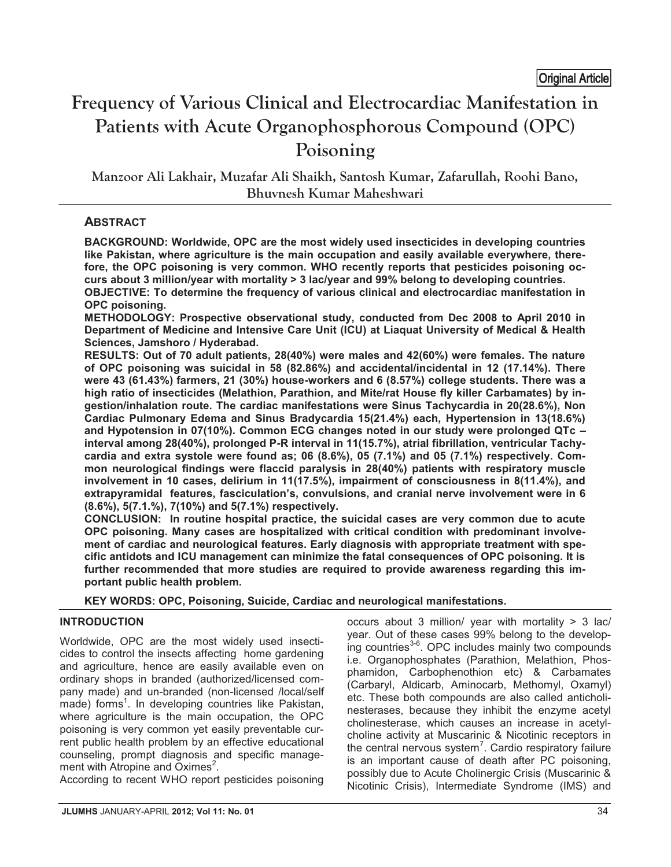# **Frequency of Various Clinical and Electrocardiac Manifestation in Patients with Acute Organophosphorous Compound (OPC) Poisoning**  Original Article

**Manzoor Ali Lakhair, Muzafar Ali Shaikh, Santosh Kumar, Zafarullah, Roohi Bano, Bhuvnesh Kumar Maheshwari**

# **ABSTRACT**

**BACKGROUND: Worldwide, OPC are the most widely used insecticides in developing countries like Pakistan, where agriculture is the main occupation and easily available everywhere, therefore, the OPC poisoning is very common. WHO recently reports that pesticides poisoning occurs about 3 million/year with mortality > 3 lac/year and 99% belong to developing countries. OBJECTIVE: To determine the frequency of various clinical and electrocardiac manifestation in OPC poisoning.** 

**METHODOLOGY: Prospective observational study, conducted from Dec 2008 to April 2010 in Department of Medicine and Intensive Care Unit (ICU) at Liaquat University of Medical & Health Sciences, Jamshoro / Hyderabad.** 

**RESULTS: Out of 70 adult patients, 28(40%) were males and 42(60%) were females. The nature of OPC poisoning was suicidal in 58 (82.86%) and accidental/incidental in 12 (17.14%). There were 43 (61.43%) farmers, 21 (30%) house-workers and 6 (8.57%) college students. There was a high ratio of insecticides (Melathion, Parathion, and Mite/rat House fly killer Carbamates) by ingestion/inhalation route. The cardiac manifestations were Sinus Tachycardia in 20(28.6%), Non Cardiac Pulmonary Edema and Sinus Bradycardia 15(21.4%) each, Hypertension in 13(18.6%) and Hypotension in 07(10%). Common ECG changes noted in our study were prolonged QTc – interval among 28(40%), prolonged P-R interval in 11(15.7%), atrial fibrillation, ventricular Tachycardia and extra systole were found as; 06 (8.6%), 05 (7.1%) and 05 (7.1%) respectively. Common neurological findings were flaccid paralysis in 28(40%) patients with respiratory muscle involvement in 10 cases, delirium in 11(17.5%), impairment of consciousness in 8(11.4%), and extrapyramidal features, fasciculation's, convulsions, and cranial nerve involvement were in 6 (8.6%), 5(7.1.%), 7(10%) and 5(7.1%) respectively.** 

**CONCLUSION: In routine hospital practice, the suicidal cases are very common due to acute OPC poisoning. Many cases are hospitalized with critical condition with predominant involvement of cardiac and neurological features. Early diagnosis with appropriate treatment with specific antidots and ICU management can minimize the fatal consequences of OPC poisoning. It is further recommended that more studies are required to provide awareness regarding this important public health problem.** 

**KEY WORDS: OPC, Poisoning, Suicide, Cardiac and neurological manifestations.** 

## **INTRODUCTION**

Worldwide, OPC are the most widely used insecticides to control the insects affecting home gardening and agriculture, hence are easily available even on ordinary shops in branded (authorized/licensed company made) and un-branded (non-licensed /local/self made) forms<sup>1</sup>. In developing countries like Pakistan, where agriculture is the main occupation, the OPC poisoning is very common yet easily preventable current public health problem by an effective educational counseling, prompt diagnosis and specific management with Atropine and Oximes<sup>2</sup>.

According to recent WHO report pesticides poisoning

occurs about 3 million/ year with mortality > 3 lac/ year. Out of these cases 99% belong to the developing countries<sup>3-6</sup>. OPC includes mainly two compounds i.e. Organophosphates (Parathion, Melathion, Phosphamidon, Carbophenothion etc) & Carbamates (Carbaryl, Aldicarb, Aminocarb, Methomyl, Oxamyl) etc. These both compounds are also called anticholinesterases, because they inhibit the enzyme acetyl cholinesterase, which causes an increase in acetylcholine activity at Muscarinic & Nicotinic receptors in the central nervous system<sup>7</sup>. Cardio respiratory failure is an important cause of death after PC poisoning, possibly due to Acute Cholinergic Crisis (Muscarinic & Nicotinic Crisis), Intermediate Syndrome (IMS) and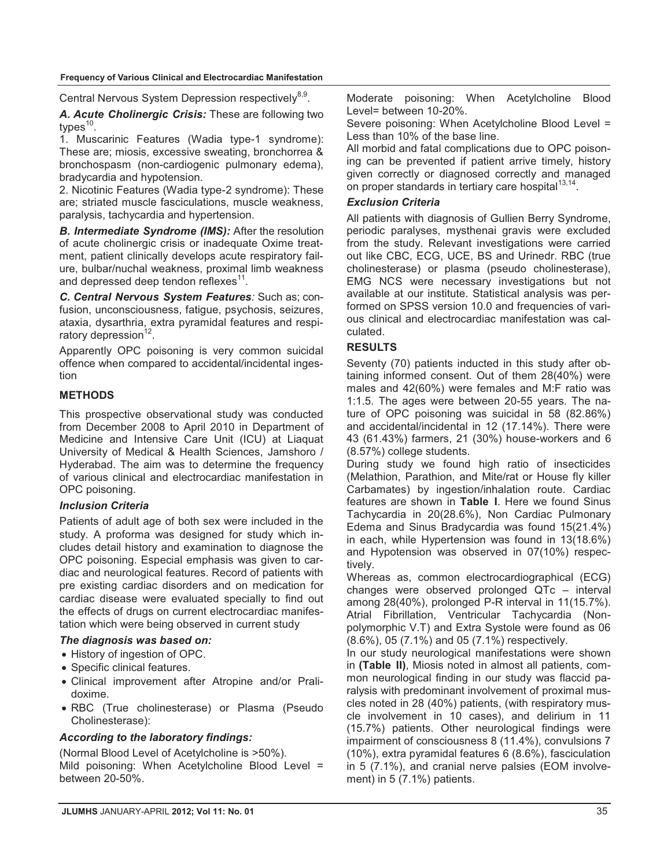Central Nervous System Depression respectively<sup>8,9</sup>.

*A. Acute Cholinergic Crisis:* These are following two types $10$ .

1. Muscarinic Features (Wadia type-1 syndrome): These are; miosis, excessive sweating, bronchorrea & bronchospasm (non-cardiogenic pulmonary edema), bradycardia and hypotension.

2. Nicotinic Features (Wadia type-2 syndrome): These are; striated muscle fasciculations, muscle weakness, paralysis, tachycardia and hypertension.

*B. Intermediate Syndrome (IMS):* After the resolution of acute cholinergic crisis or inadequate Oxime treatment, patient clinically develops acute respiratory failure, bulbar/nuchal weakness, proximal limb weakness and depressed deep tendon reflexes<sup>11</sup>.

*C. Central Nervous System Features:* Such as; confusion, unconsciousness, fatigue, psychosis, seizures, ataxia, dysarthria, extra pyramidal features and respiratory depression<sup>12</sup>.

Apparently OPC poisoning is very common suicidal offence when compared to accidental/incidental ingestion

## **METHODS**

This prospective observational study was conducted from December 2008 to April 2010 in Department of Medicine and Intensive Care Unit (ICU) at Liaquat University of Medical & Health Sciences, Jamshoro / Hyderabad. The aim was to determine the frequency of various clinical and electrocardiac manifestation in OPC poisoning.

## *Inclusion Criteria*

Patients of adult age of both sex were included in the study. A proforma was designed for study which includes detail history and examination to diagnose the OPC poisoning. Especial emphasis was given to cardiac and neurological features. Record of patients with pre existing cardiac disorders and on medication for cardiac disease were evaluated specially to find out the effects of drugs on current electrocardiac manifestation which were being observed in current study

### *The diagnosis was based on:*

- History of ingestion of OPC.
- -Specific clinical features.
- Clinical improvement after Atropine and/or Pralidoxime.
- RBC (True cholinesterase) or Plasma (Pseudo Cholinesterase):

## *According to the laboratory findings:*

(Normal Blood Level of Acetylcholine is >50%). Mild poisoning: When Acetylcholine Blood Level = between 20-50%.

Moderate poisoning: When Acetylcholine Blood Level= between 10-20%.

Severe poisoning: When Acetylcholine Blood Level = Less than 10% of the base line.

All morbid and fatal complications due to OPC poisoning can be prevented if patient arrive timely, history given correctly or diagnosed correctly and managed on proper standards in tertiary care hospital<sup>13,14</sup>.

## *Exclusion Criteria*

All patients with diagnosis of Gullien Berry Syndrome, periodic paralyses, mysthenai gravis were excluded from the study. Relevant investigations were carried out like CBC, ECG, UCE, BS and Urinedr. RBC (true cholinesterase) or plasma (pseudo cholinesterase), EMG NCS were necessary investigations but not available at our institute. Statistical analysis was performed on SPSS version 10.0 and frequencies of various clinical and electrocardiac manifestation was calculated.

## **RESULTS**

Seventy (70) patients inducted in this study after obtaining informed consent. Out of them 28(40%) were males and 42(60%) were females and M:F ratio was 1:1.5. The ages were between 20-55 years. The nature of OPC poisoning was suicidal in 58 (82.86%) and accidental/incidental in 12 (17.14%). There were 43 (61.43%) farmers, 21 (30%) house-workers and 6 (8.57%) college students.

During study we found high ratio of insecticides (Melathion, Parathion, and Mite/rat or House fly killer Carbamates) by ingestion/inhalation route. Cardiac features are shown in **Table I**. Here we found Sinus Tachycardia in 20(28.6%), Non Cardiac Pulmonary Edema and Sinus Bradycardia was found 15(21.4%) in each, while Hypertension was found in 13(18.6%) and Hypotension was observed in 07(10%) respectively.

Whereas as, common electrocardiographical (ECG) changes were observed prolonged QTc – interval among 28(40%), prolonged P-R interval in 11(15.7%). Atrial Fibrillation, Ventricular Tachycardia (Nonpolymorphic V.T) and Extra Systole were found as 06 (8.6%), 05 (7.1%) and 05 (7.1%) respectively.

In our study neurological manifestations were shown in **(Table II)**, Miosis noted in almost all patients, common neurological finding in our study was flaccid paralysis with predominant involvement of proximal muscles noted in 28 (40%) patients, (with respiratory muscle involvement in 10 cases), and delirium in 11 (15.7%) patients. Other neurological findings were impairment of consciousness 8 (11.4%), convulsions 7 (10%), extra pyramidal features 6 (8.6%), fasciculation in 5 (7.1%), and cranial nerve palsies (EOM involvement) in 5 (7.1%) patients.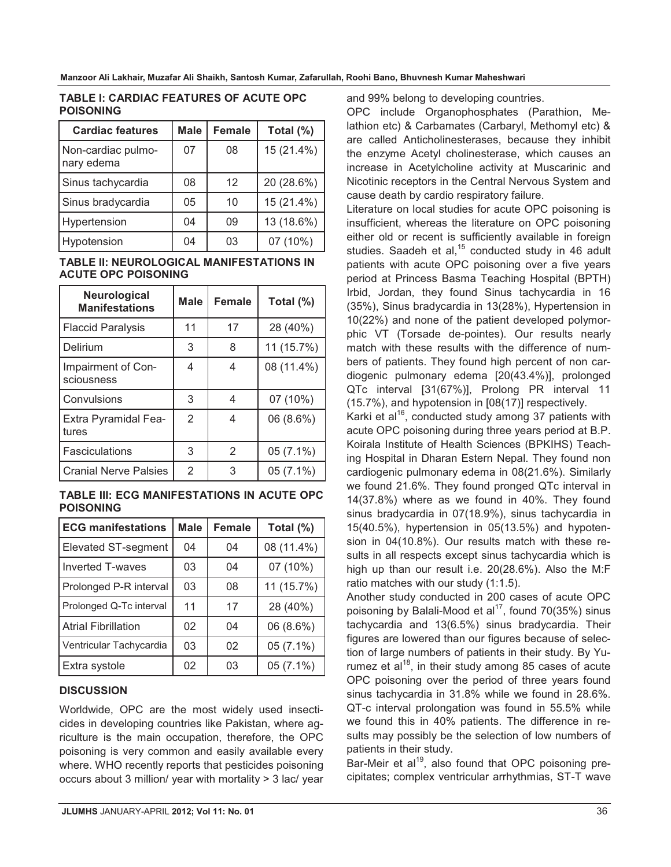| <b>Cardiac features</b>          | <b>Male</b> | <b>Female</b> | Total (%)  |
|----------------------------------|-------------|---------------|------------|
| Non-cardiac pulmo-<br>nary edema | 07          | 08            | 15 (21.4%) |
| Sinus tachycardia                | 08          | 12            | 20 (28.6%) |
| Sinus bradycardia                | 05          | 10            | 15 (21.4%) |
| Hypertension                     | 04          | 09            | 13 (18.6%) |
| Hypotension                      | 04          | 03            | 07 (10%)   |

#### **TABLE I: CARDIAC FEATURES OF ACUTE OPC POISONING**

**TABLE II: NEUROLOGICAL MANIFESTATIONS IN ACUTE OPC POISONING**

| Neurological<br><b>Manifestations</b> | <b>Male</b> | <b>Female</b> | Total $(\%)$ |
|---------------------------------------|-------------|---------------|--------------|
| <b>Flaccid Paralysis</b>              | 11          | 17            | 28 (40%)     |
| Delirium                              | 3           | 8             | 11 (15.7%)   |
| Impairment of Con-<br>sciousness      | 4           | 4             | 08 (11.4%)   |
| Convulsions                           | 3           | 4             | 07 (10%)     |
| Extra Pyramidal Fea-<br>tures         | 2           | 4             | 06 (8.6%)    |
| Fasciculations                        | 3           | 2             | $05(7.1\%)$  |
| <b>Cranial Nerve Palsies</b>          | 2           | 3             | $05(7.1\%)$  |

**TABLE III: ECG MANIFESTATIONS IN ACUTE OPC POISONING** 

| <b>ECG manifestations</b>  | <b>Male</b>     | Female | Total (%)   |
|----------------------------|-----------------|--------|-------------|
| <b>Elevated ST-segment</b> | 04              | 04     | 08 (11.4%)  |
| <b>Inverted T-waves</b>    | 03              | 04     | 07 (10%)    |
| Prolonged P-R interval     | 03              | 08     | 11 (15.7%)  |
| Prolonged Q-Tc interval    | 11              | 17     | 28 (40%)    |
| <b>Atrial Fibrillation</b> | 02 <sub>2</sub> | 04     | 06 (8.6%)   |
| Ventricular Tachycardia    | 03              | 02     | $05(7.1\%)$ |
| Extra systole              | 02              | 03     | 05 (7.1%)   |

### **DISCUSSION**

Worldwide, OPC are the most widely used insecticides in developing countries like Pakistan, where agriculture is the main occupation, therefore, the OPC poisoning is very common and easily available every where. WHO recently reports that pesticides poisoning occurs about 3 million/ year with mortality > 3 lac/ year

and 99% belong to developing countries.

OPC include Organophosphates (Parathion, Melathion etc) & Carbamates (Carbaryl, Methomyl etc) & are called Anticholinesterases, because they inhibit the enzyme Acetyl cholinesterase, which causes an increase in Acetylcholine activity at Muscarinic and Nicotinic receptors in the Central Nervous System and cause death by cardio respiratory failure.

Literature on local studies for acute OPC poisoning is insufficient, whereas the literature on OPC poisoning either old or recent is sufficiently available in foreign studies. Saadeh et al, $15$  conducted study in 46 adult patients with acute OPC poisoning over a five years period at Princess Basma Teaching Hospital (BPTH) Irbid, Jordan, they found Sinus tachycardia in 16 (35%), Sinus bradycardia in 13(28%), Hypertension in 10(22%) and none of the patient developed polymorphic VT (Torsade de-pointes). Our results nearly match with these results with the difference of numbers of patients. They found high percent of non cardiogenic pulmonary edema [20(43.4%)], prolonged QTc interval [31(67%)], Prolong PR interval 11 (15.7%), and hypotension in [08(17)] respectively.

Karki et al<sup>16</sup>, conducted study among 37 patients with acute OPC poisoning during three years period at B.P. Koirala Institute of Health Sciences (BPKIHS) Teaching Hospital in Dharan Estern Nepal. They found non cardiogenic pulmonary edema in 08(21.6%). Similarly we found 21.6%. They found pronged QTc interval in 14(37.8%) where as we found in 40%. They found sinus bradycardia in 07(18.9%), sinus tachycardia in 15(40.5%), hypertension in 05(13.5%) and hypotension in 04(10.8%). Our results match with these results in all respects except sinus tachycardia which is high up than our result i.e. 20(28.6%). Also the M:F ratio matches with our study (1:1.5).

Another study conducted in 200 cases of acute OPC poisoning by Balali-Mood et al<sup>17</sup>, found 70(35%) sinus tachycardia and 13(6.5%) sinus bradycardia. Their figures are lowered than our figures because of selection of large numbers of patients in their study. By Yurumez et al<sup>18</sup>, in their study among 85 cases of acute OPC poisoning over the period of three years found sinus tachycardia in 31.8% while we found in 28.6%. QT-c interval prolongation was found in 55.5% while we found this in 40% patients. The difference in results may possibly be the selection of low numbers of patients in their study.

Bar-Meir et al<sup>19</sup>, also found that OPC poisoning precipitates; complex ventricular arrhythmias, ST-T wave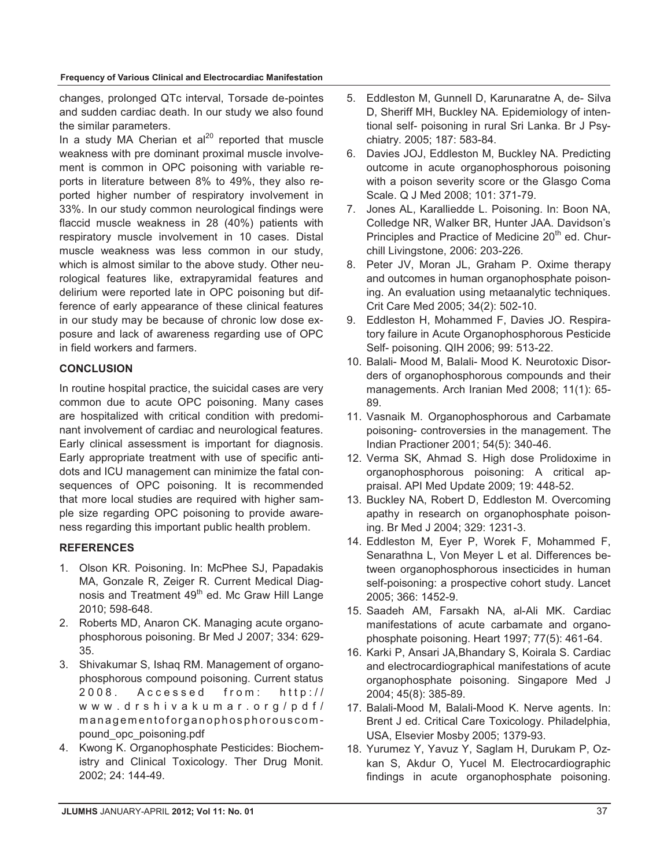**Frequency of Various Clinical and Electrocardiac Manifestation** 

changes, prolonged QTc interval, Torsade de-pointes and sudden cardiac death. In our study we also found the similar parameters.

In a study MA Cherian et  $al^{20}$  reported that muscle weakness with pre dominant proximal muscle involvement is common in OPC poisoning with variable reports in literature between 8% to 49%, they also reported higher number of respiratory involvement in 33%. In our study common neurological findings were flaccid muscle weakness in 28 (40%) patients with respiratory muscle involvement in 10 cases. Distal muscle weakness was less common in our study, which is almost similar to the above study. Other neurological features like, extrapyramidal features and delirium were reported late in OPC poisoning but difference of early appearance of these clinical features in our study may be because of chronic low dose exposure and lack of awareness regarding use of OPC in field workers and farmers.

## **CONCLUSION**

In routine hospital practice, the suicidal cases are very common due to acute OPC poisoning. Many cases are hospitalized with critical condition with predominant involvement of cardiac and neurological features. Early clinical assessment is important for diagnosis. Early appropriate treatment with use of specific antidots and ICU management can minimize the fatal consequences of OPC poisoning. It is recommended that more local studies are required with higher sample size regarding OPC poisoning to provide awareness regarding this important public health problem.

## **REFERENCES**

- 1. Olson KR. Poisoning. In: McPhee SJ, Papadakis MA, Gonzale R, Zeiger R. Current Medical Diagnosis and Treatment 49<sup>th</sup> ed. Mc Graw Hill Lange 2010; 598-648.
- 2. Roberts MD, Anaron CK. Managing acute organophosphorous poisoning. Br Med J 2007; 334: 629- 35.
- 3. Shivakumar S, Ishaq RM. Management of organophosphorous compound poisoning. Current status 2008. Accessed from: http:// www.drshivakumar.org/pdf/ managementoforganophosphorouscompound\_opc\_poisoning.pdf
- 4. Kwong K. Organophosphate Pesticides: Biochemistry and Clinical Toxicology. Ther Drug Monit. 2002; 24: 144-49.
- 5. Eddleston M, Gunnell D, Karunaratne A, de- Silva D, Sheriff MH, Buckley NA. Epidemiology of intentional self- poisoning in rural Sri Lanka. Br J Psychiatry. 2005; 187: 583-84.
- 6. Davies JOJ, Eddleston M, Buckley NA. Predicting outcome in acute organophosphorous poisoning with a poison severity score or the Glasgo Coma Scale. Q J Med 2008; 101: 371-79.
- 7. Jones AL, Karalliedde L. Poisoning. In: Boon NA, Colledge NR, Walker BR, Hunter JAA. Davidson's Principles and Practice of Medicine 20<sup>th</sup> ed. Churchill Livingstone, 2006: 203-226.
- 8. Peter JV, Moran JL, Graham P. Oxime therapy and outcomes in human organophosphate poisoning. An evaluation using metaanalytic techniques. Crit Care Med 2005; 34(2): 502-10.
- 9. Eddleston H, Mohammed F, Davies JO. Respiratory failure in Acute Organophosphorous Pesticide Self- poisoning. QIH 2006; 99: 513-22.
- 10. Balali- Mood M, Balali- Mood K. Neurotoxic Disorders of organophosphorous compounds and their managements. Arch Iranian Med 2008; 11(1): 65- 89.
- 11. Vasnaik M. Organophosphorous and Carbamate poisoning- controversies in the management. The Indian Practioner 2001; 54(5): 340-46.
- 12. Verma SK, Ahmad S. High dose Prolidoxime in organophosphorous poisoning: A critical appraisal. API Med Update 2009; 19: 448-52.
- 13. Buckley NA, Robert D, Eddleston M. Overcoming apathy in research on organophosphate poisoning. Br Med J 2004; 329: 1231-3.
- 14. Eddleston M, Eyer P, Worek F, Mohammed F, Senarathna L, Von Meyer L et al. Differences between organophosphorous insecticides in human self-poisoning: a prospective cohort study. Lancet 2005; 366: 1452-9.
- 15. Saadeh AM, Farsakh NA, al-Ali MK. Cardiac manifestations of acute carbamate and organophosphate poisoning. Heart 1997; 77(5): 461-64.
- 16. Karki P, Ansari JA,Bhandary S, Koirala S. Cardiac and electrocardiographical manifestations of acute organophosphate poisoning. Singapore Med J 2004; 45(8): 385-89.
- 17. Balali-Mood M, Balali-Mood K. Nerve agents. In: Brent J ed. Critical Care Toxicology. Philadelphia, USA, Elsevier Mosby 2005; 1379-93.
- 18. Yurumez Y, Yavuz Y, Saglam H, Durukam P, Ozkan S, Akdur O, Yucel M. Electrocardiographic findings in acute organophosphate poisoning.